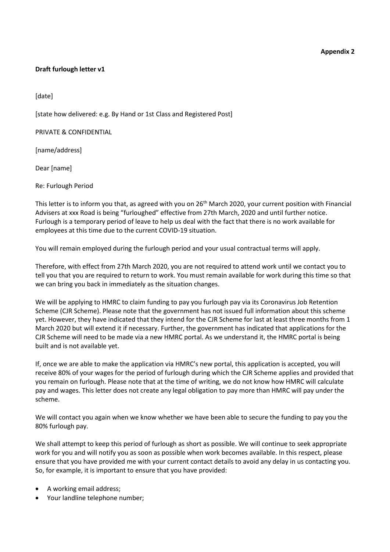## **Appendix 2**

## **Draft furlough letter v1**

[date]

[state how delivered: e.g. By Hand or 1st Class and Registered Post]

PRIVATE & CONFIDENTIAL

[name/address]

Dear [name]

Re: Furlough Period

This letter is to inform you that, as agreed with you on 26<sup>th</sup> March 2020, your current position with Financial Advisers at xxx Road is being "furloughed" effective from 27th March, 2020 and until further notice. Furlough is a temporary period of leave to help us deal with the fact that there is no work available for employees at this time due to the current COVID-19 situation.

You will remain employed during the furlough period and your usual contractual terms will apply.

Therefore, with effect from 27th March 2020, you are not required to attend work until we contact you to tell you that you are required to return to work. You must remain available for work during this time so that we can bring you back in immediately as the situation changes.

We will be applying to HMRC to claim funding to pay you furlough pay via its Coronavirus Job Retention Scheme (CJR Scheme). Please note that the government has not issued full information about this scheme yet. However, they have indicated that they intend for the CJR Scheme for last at least three months from 1 March 2020 but will extend it if necessary. Further, the government has indicated that applications for the CJR Scheme will need to be made via a new HMRC portal. As we understand it, the HMRC portal is being built and is not available yet.

If, once we are able to make the application via HMRC's new portal, this application is accepted, you will receive 80% of your wages for the period of furlough during which the CJR Scheme applies and provided that you remain on furlough. Please note that at the time of writing, we do not know how HMRC will calculate pay and wages. This letter does not create any legal obligation to pay more than HMRC will pay under the scheme.

We will contact you again when we know whether we have been able to secure the funding to pay you the 80% furlough pay.

We shall attempt to keep this period of furlough as short as possible. We will continue to seek appropriate work for you and will notify you as soon as possible when work becomes available. In this respect, please ensure that you have provided me with your current contact details to avoid any delay in us contacting you. So, for example, it is important to ensure that you have provided:

- A working email address;
- Your landline telephone number;